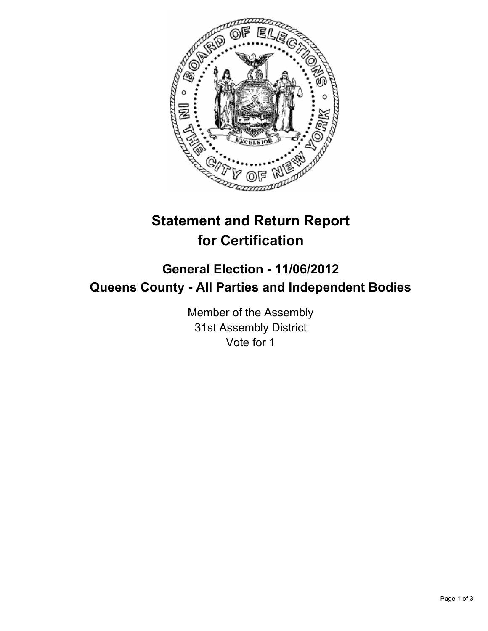

## **Statement and Return Report for Certification**

## **General Election - 11/06/2012 Queens County - All Parties and Independent Bodies**

Member of the Assembly 31st Assembly District Vote for 1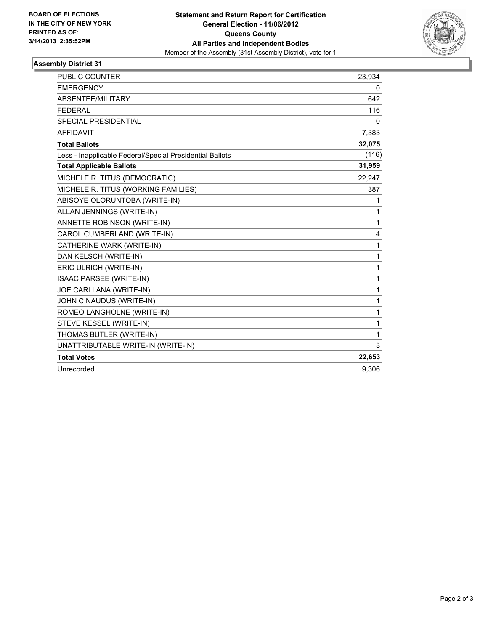

## **Assembly District 31**

| PUBLIC COUNTER                                           | 23,934       |
|----------------------------------------------------------|--------------|
| <b>EMERGENCY</b>                                         | 0            |
| <b>ABSENTEE/MILITARY</b>                                 | 642          |
| <b>FEDERAL</b>                                           | 116          |
| <b>SPECIAL PRESIDENTIAL</b>                              | 0            |
| <b>AFFIDAVIT</b>                                         | 7,383        |
| <b>Total Ballots</b>                                     | 32,075       |
| Less - Inapplicable Federal/Special Presidential Ballots | (116)        |
| <b>Total Applicable Ballots</b>                          | 31,959       |
| MICHELE R. TITUS (DEMOCRATIC)                            | 22,247       |
| MICHELE R. TITUS (WORKING FAMILIES)                      | 387          |
| ABISOYE OLORUNTOBA (WRITE-IN)                            | 1            |
| ALLAN JENNINGS (WRITE-IN)                                | 1            |
| ANNETTE ROBINSON (WRITE-IN)                              | $\mathbf{1}$ |
| CAROL CUMBERLAND (WRITE-IN)                              | 4            |
| CATHERINE WARK (WRITE-IN)                                | $\mathbf{1}$ |
| DAN KELSCH (WRITE-IN)                                    | $\mathbf{1}$ |
| ERIC ULRICH (WRITE-IN)                                   | 1            |
| ISAAC PARSEE (WRITE-IN)                                  | 1            |
| JOE CARLLANA (WRITE-IN)                                  | $\mathbf{1}$ |
| JOHN C NAUDUS (WRITE-IN)                                 | $\mathbf{1}$ |
| ROMEO LANGHOLNE (WRITE-IN)                               | $\mathbf{1}$ |
| STEVE KESSEL (WRITE-IN)                                  | 1            |
| THOMAS BUTLER (WRITE-IN)                                 | 1            |
| UNATTRIBUTABLE WRITE-IN (WRITE-IN)                       | 3            |
| <b>Total Votes</b>                                       | 22,653       |
| Unrecorded                                               | 9.306        |